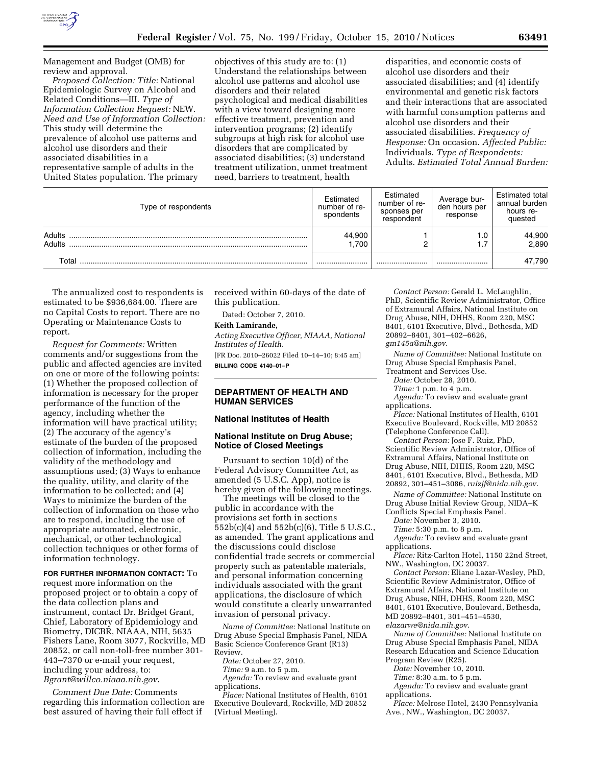

Management and Budget (OMB) for review and approval.

*Proposed Collection: Title:* National Epidemiologic Survey on Alcohol and Related Conditions—III. *Type of Information Collection Request:* NEW. *Need and Use of Information Collection:*  This study will determine the prevalence of alcohol use patterns and alcohol use disorders and their associated disabilities in a representative sample of adults in the United States population. The primary

objectives of this study are to: (1) Understand the relationships between alcohol use patterns and alcohol use disorders and their related psychological and medical disabilities with a view toward designing more effective treatment, prevention and intervention programs; (2) identify subgroups at high risk for alcohol use disorders that are complicated by associated disabilities; (3) understand treatment utilization, unmet treatment need, barriers to treatment, health

disparities, and economic costs of alcohol use disorders and their associated disabilities; and (4) identify environmental and genetic risk factors and their interactions that are associated with harmful consumption patterns and alcohol use disorders and their associated disabilities. *Frequency of Response:* On occasion. *Affected Public:*  Individuals. *Type of Respondents:*  Adults. *Estimated Total Annual Burden:* 

| Type of respondents | Estimated<br>number of re-<br>spondents | Estimated<br>number of re-<br>sponses per<br>respondent | Average bur-<br>den hours per<br>response | <b>Estimated total</b><br>annual burden<br>hours re-<br>quested |
|---------------------|-----------------------------------------|---------------------------------------------------------|-------------------------------------------|-----------------------------------------------------------------|
| Adults<br>Adults    | 44,900<br>1.700                         |                                                         | 1.U                                       | 44,900<br>2,890                                                 |
| Total               |                                         |                                                         |                                           | 47,790                                                          |

The annualized cost to respondents is estimated to be \$936,684.00. There are no Capital Costs to report. There are no Operating or Maintenance Costs to report.

*Request for Comments:* Written comments and/or suggestions from the public and affected agencies are invited on one or more of the following points: (1) Whether the proposed collection of information is necessary for the proper performance of the function of the agency, including whether the information will have practical utility; (2) The accuracy of the agency's estimate of the burden of the proposed collection of information, including the validity of the methodology and assumptions used; (3) Ways to enhance the quality, utility, and clarity of the information to be collected; and (4) Ways to minimize the burden of the collection of information on those who are to respond, including the use of appropriate automated, electronic, mechanical, or other technological collection techniques or other forms of information technology.

#### **FOR FURTHER INFORMATION CONTACT:** To

request more information on the proposed project or to obtain a copy of the data collection plans and instrument, contact Dr. Bridget Grant, Chief, Laboratory of Epidemiology and Biometry, DICBR, NIAAA, NIH, 5635 Fishers Lane, Room 3077, Rockville, MD 20852, or call non-toll-free number 301- 443–7370 or e-mail your request, including your address, to: *[Bgrant@willco.niaaa.nih.gov](mailto:Bgrant@willco.niaaa.nih.gov)*.

*Comment Due Date:* Comments regarding this information collection are best assured of having their full effect if

received within 60-days of the date of this publication.

Dated: October 7, 2010.

# **Keith Lamirande,**

*Acting Executive Officer, NIAAA, National Institutes of Health.* 

[FR Doc. 2010–26022 Filed 10–14–10; 8:45 am] **BILLING CODE 4140–01–P** 

## **DEPARTMENT OF HEALTH AND HUMAN SERVICES**

# **National Institutes of Health**

#### **National Institute on Drug Abuse; Notice of Closed Meetings**

Pursuant to section 10(d) of the Federal Advisory Committee Act, as amended (5 U.S.C. App), notice is hereby given of the following meetings.

The meetings will be closed to the public in accordance with the provisions set forth in sections 552b(c)(4) and 552b(c)(6), Title 5 U.S.C., as amended. The grant applications and the discussions could disclose confidential trade secrets or commercial property such as patentable materials, and personal information concerning individuals associated with the grant applications, the disclosure of which would constitute a clearly unwarranted invasion of personal privacy.

*Name of Committee:* National Institute on Drug Abuse Special Emphasis Panel, NIDA Basic Science Conference Grant (R13) Review.

*Date:* October 27, 2010.

*Time:* 9 a.m. to 5 p.m. *Agenda:* To review and evaluate grant

applications. *Place:* National Institutes of Health, 6101 Executive Boulevard, Rockville, MD 20852 (Virtual Meeting).

*Contact Person:* Gerald L. McLaughlin, PhD, Scientific Review Administrator, Office of Extramural Affairs, National Institute on Drug Abuse, NIH, DHHS, Room 220, MSC 8401, 6101 Executive, Blvd., Bethesda, MD 20892–8401, 301–402–6626, *[gm145a@nih.gov](mailto:gm145a@nih.gov)*.

*Name of Committee:* National Institute on Drug Abuse Special Emphasis Panel,

Treatment and Services Use. *Date:* October 28, 2010.

- *Time:* 1 p.m. to 4 p.m.
- *Agenda:* To review and evaluate grant applications.
- *Place:* National Institutes of Health, 6101 Executive Boulevard, Rockville, MD 20852 (Telephone Conference Call).

*Contact Person:* Jose F. Ruiz, PhD, Scientific Review Administrator, Office of Extramural Affairs, National Institute on Drug Abuse, NIH, DHHS, Room 220, MSC 8401, 6101 Executive, Blvd., Bethesda, MD

20892, 301–451–3086, *[ruizjf@nida.nih.gov](mailto:ruizjf@nida.nih.gov)*. *Name of Committee:* National Institute on

Drug Abuse Initial Review Group, NIDA–K Conflicts Special Emphasis Panel.

*Date:* November 3, 2010.

*Time:* 5:30 p.m. to 8 p.m.

*Agenda:* To review and evaluate grant applications.

*Place:* Ritz-Carlton Hotel, 1150 22nd Street, NW., Washington, DC 20037.

*Contact Person:* Eliane Lazar-Wesley, PhD, Scientific Review Administrator, Office of Extramural Affairs, National Institute on Drug Abuse, NIH, DHHS, Room 220, MSC 8401, 6101 Executive, Boulevard, Bethesda, MD 20892–8401, 301–451–4530, *[elazarwe@nida.nih.gov](mailto:elazarwe@nida.nih.gov)*.

*Name of Committee:* National Institute on Drug Abuse Special Emphasis Panel, NIDA Research Education and Science Education Program Review (R25).

*Date:* November 10, 2010.

*Time:* 8:30 a.m. to 5 p.m.

*Agenda:* To review and evaluate grant applications.

*Place:* Melrose Hotel, 2430 Pennsylvania Ave., NW., Washington, DC 20037.